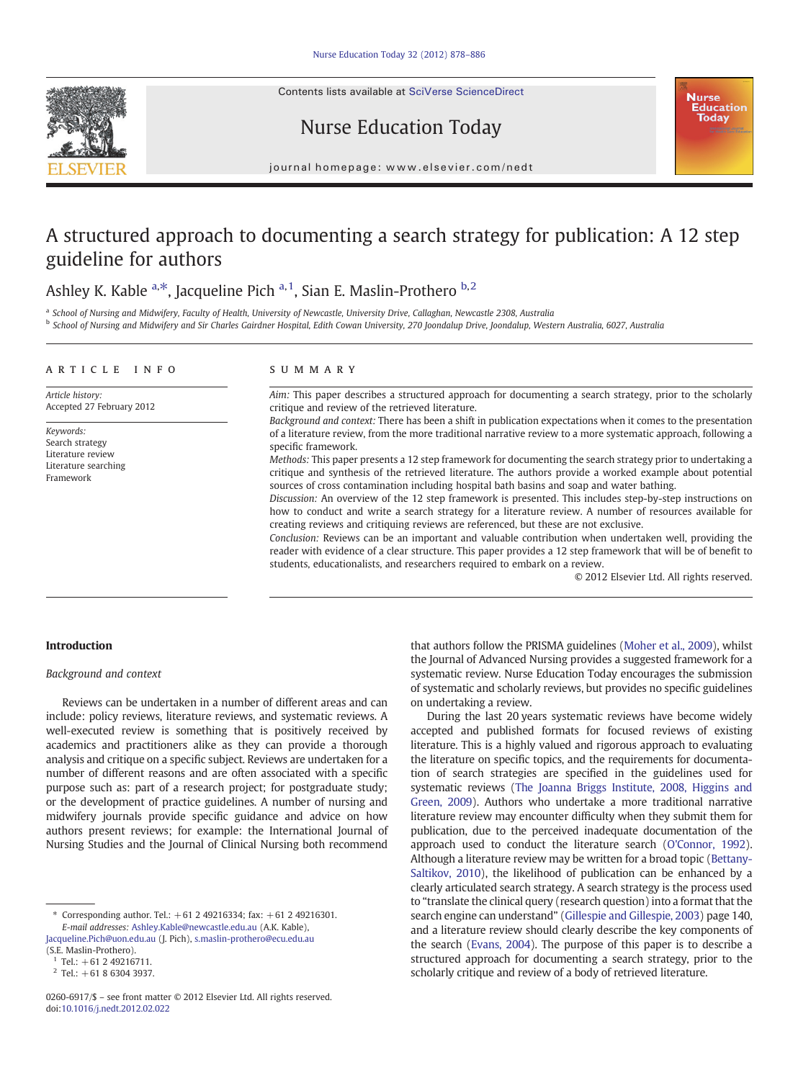Contents lists available at [SciVerse ScienceDirect](http://www.sciencedirect.com/science/journal/02606917)





# Nurse Education Today

journal homepage: www.elsevier.com/nedt

# A structured approach to documenting a search strategy for publication: A 12 step guideline for authors

Ashley K. Kable <sup>a,\*</sup>, Jacqueline Pich <sup>a, 1</sup>, Sian E. Maslin-Prothero <sup>b, 2</sup>

a School of Nursing and Midwifery, Faculty of Health, University of Newcastle, University Drive, Callaghan, Newcastle 2308, Australia

**b School of Nursing and Midwifery and Sir Charles Gairdner Hospital, Edith Cowan University, 270 Joondalup Drive, Joondalup, Western Australia, 6027, Australia** 

|  |  |  | ARTICLE INFO |  |  |
|--|--|--|--------------|--|--|
|  |  |  |              |  |  |

Article history: Accepted 27 February 2012

Keywords: Search strategy Literature review Literature searching Framework

#### SUMMARY

Aim: This paper describes a structured approach for documenting a search strategy, prior to the scholarly critique and review of the retrieved literature.

Background and context: There has been a shift in publication expectations when it comes to the presentation of a literature review, from the more traditional narrative review to a more systematic approach, following a specific framework.

Methods: This paper presents a 12 step framework for documenting the search strategy prior to undertaking a critique and synthesis of the retrieved literature. The authors provide a worked example about potential sources of cross contamination including hospital bath basins and soap and water bathing.

Discussion: An overview of the 12 step framework is presented. This includes step-by-step instructions on how to conduct and write a search strategy for a literature review. A number of resources available for creating reviews and critiquing reviews are referenced, but these are not exclusive.

Conclusion: Reviews can be an important and valuable contribution when undertaken well, providing the reader with evidence of a clear structure. This paper provides a 12 step framework that will be of benefit to students, educationalists, and researchers required to embark on a review.

© 2012 Elsevier Ltd. All rights reserved.

# Introduction

#### Background and context

Reviews can be undertaken in a number of different areas and can include: policy reviews, literature reviews, and systematic reviews. A well-executed review is something that is positively received by academics and practitioners alike as they can provide a thorough analysis and critique on a specific subject. Reviews are undertaken for a number of different reasons and are often associated with a specific purpose such as: part of a research project; for postgraduate study; or the development of practice guidelines. A number of nursing and midwifery journals provide specific guidance and advice on how authors present reviews; for example: the International Journal of Nursing Studies and the Journal of Clinical Nursing both recommend

⁎ Corresponding author. Tel.: +61 2 49216334; fax: +61 2 49216301. E-mail addresses: [Ashley.Kable@newcastle.edu.au](mailto:Ashley.Kable@newcastle.edu.au) (A.K. Kable), [Jacqueline.Pich@uon.edu.au](mailto:Jacqueline.Pich@uon.edu.au) (J. Pich), [s.maslin-prothero@ecu.edu.au](mailto:s.maslin-prothero@ecu.edu.au)

that authors follow the PRISMA guidelines [\(Moher et al., 2009](#page-8-0)), whilst the Journal of Advanced Nursing provides a suggested framework for a systematic review. Nurse Education Today encourages the submission of systematic and scholarly reviews, but provides no specific guidelines on undertaking a review.

During the last 20 years systematic reviews have become widely accepted and published formats for focused reviews of existing literature. This is a highly valued and rigorous approach to evaluating the literature on specific topics, and the requirements for documentation of search strategies are specified in the guidelines used for systematic reviews ([The Joanna Briggs Institute, 2008, Higgins and](#page-8-0) [Green, 2009\)](#page-8-0). Authors who undertake a more traditional narrative literature review may encounter difficulty when they submit them for publication, due to the perceived inadequate documentation of the approach used to conduct the literature search [\(O'Connor, 1992\)](#page-8-0). Although a literature review may be written for a broad topic [\(Bettany-](#page-8-0)[Saltikov, 2010](#page-8-0)), the likelihood of publication can be enhanced by a clearly articulated search strategy. A search strategy is the process used to "translate the clinical query (research question) into a format that the search engine can understand" [\(Gillespie and Gillespie, 2003\)](#page-8-0) page 140, and a literature review should clearly describe the key components of the search [\(Evans, 2004\)](#page-8-0). The purpose of this paper is to describe a structured approach for documenting a search strategy, prior to the scholarly critique and review of a body of retrieved literature.

<sup>(</sup>S.E. Maslin-Prothero).

 $1$  Tel.:  $+61$  2 49216711.

 $2$  Tel.: +61 8 6304 3937.

<sup>0260-6917/\$</sup> – see front matter © 2012 Elsevier Ltd. All rights reserved. doi[:10.1016/j.nedt.2012.02.022](http://dx.doi.org/10.1016/j.nedt.2012.02.022)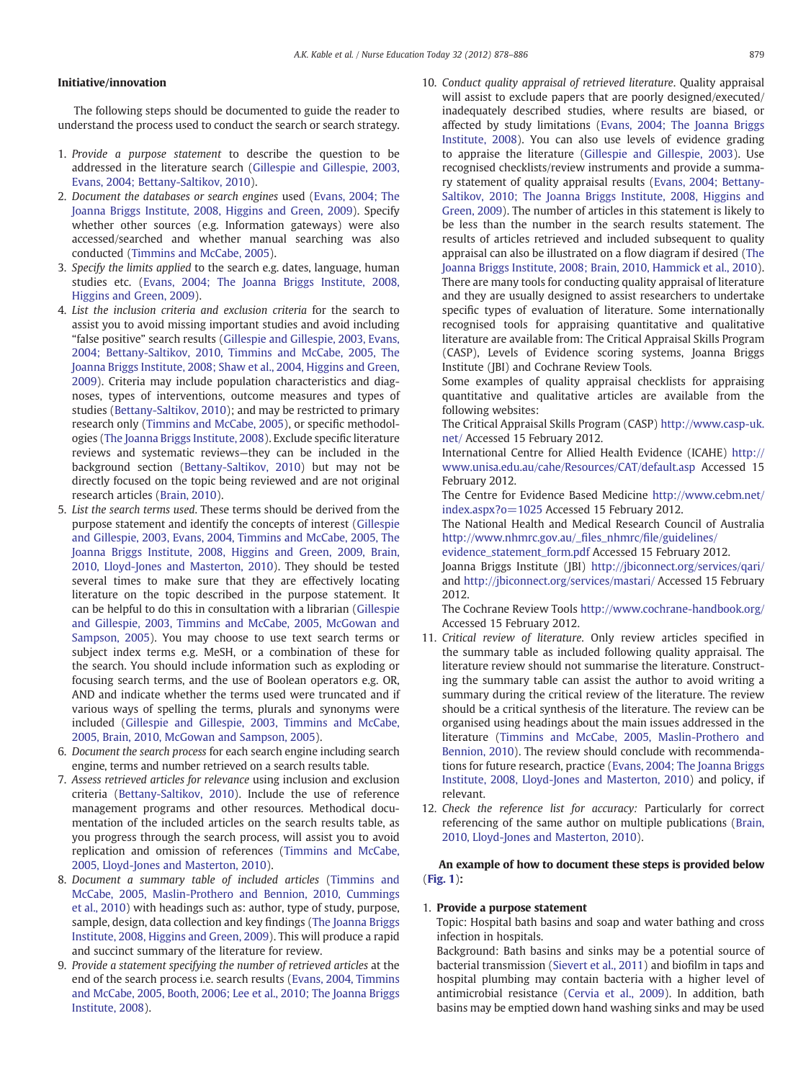### Initiative/innovation

The following steps should be documented to guide the reader to understand the process used to conduct the search or search strategy.

- 1. Provide a purpose statement to describe the question to be addressed in the literature search ([Gillespie and Gillespie, 2003,](#page-8-0) [Evans, 2004; Bettany-Saltikov, 2010\)](#page-8-0).
- 2. Document the databases or search engines used ([Evans, 2004; The](#page-8-0) [Joanna Briggs Institute, 2008, Higgins and Green, 2009\)](#page-8-0). Specify whether other sources (e.g. Information gateways) were also accessed/searched and whether manual searching was also conducted ([Timmins and McCabe, 2005\)](#page-8-0).
- 3. Specify the limits applied to the search e.g. dates, language, human studies etc. [\(Evans, 2004; The Joanna Briggs Institute, 2008,](#page-8-0) [Higgins and Green, 2009\)](#page-8-0).
- 4. List the inclusion criteria and exclusion criteria for the search to assist you to avoid missing important studies and avoid including "false positive" search results [\(Gillespie and Gillespie, 2003, Evans,](#page-8-0) [2004; Bettany-Saltikov, 2010, Timmins and McCabe, 2005, The](#page-8-0) [Joanna Briggs Institute, 2008; Shaw et al., 2004, Higgins and Green,](#page-8-0) [2009](#page-8-0)). Criteria may include population characteristics and diagnoses, types of interventions, outcome measures and types of studies [\(Bettany-Saltikov, 2010](#page-8-0)); and may be restricted to primary research only ([Timmins and McCabe, 2005](#page-8-0)), or specific methodologies ([The Joanna Briggs Institute, 2008](#page-8-0)). Exclude specific literature reviews and systematic reviews—they can be included in the background section ([Bettany-Saltikov, 2010\)](#page-8-0) but may not be directly focused on the topic being reviewed and are not original research articles ([Brain, 2010](#page-8-0)).
- 5. List the search terms used. These terms should be derived from the purpose statement and identify the concepts of interest [\(Gillespie](#page-8-0) [and Gillespie, 2003, Evans, 2004, Timmins and McCabe, 2005, The](#page-8-0) [Joanna Briggs Institute, 2008, Higgins and Green, 2009, Brain,](#page-8-0) [2010, Lloyd-Jones and Masterton, 2010\)](#page-8-0). They should be tested several times to make sure that they are effectively locating literature on the topic described in the purpose statement. It can be helpful to do this in consultation with a librarian [\(Gillespie](#page-8-0) [and Gillespie, 2003, Timmins and McCabe, 2005, McGowan and](#page-8-0) [Sampson, 2005\)](#page-8-0). You may choose to use text search terms or subject index terms e.g. MeSH, or a combination of these for the search. You should include information such as exploding or focusing search terms, and the use of Boolean operators e.g. OR, AND and indicate whether the terms used were truncated and if various ways of spelling the terms, plurals and synonyms were included [\(Gillespie and Gillespie, 2003, Timmins and McCabe,](#page-8-0) [2005, Brain, 2010, McGowan and Sampson, 2005\)](#page-8-0).
- 6. Document the search process for each search engine including search engine, terms and number retrieved on a search results table.
- 7. Assess retrieved articles for relevance using inclusion and exclusion criteria [\(Bettany-Saltikov, 2010\)](#page-8-0). Include the use of reference management programs and other resources. Methodical documentation of the included articles on the search results table, as you progress through the search process, will assist you to avoid replication and omission of references ([Timmins and McCabe,](#page-8-0) [2005, Lloyd-Jones and Masterton, 2010\)](#page-8-0).
- 8. Document a summary table of included articles [\(Timmins and](#page-8-0) [McCabe, 2005, Maslin-Prothero and Bennion, 2010, Cummings](#page-8-0) [et al., 2010](#page-8-0)) with headings such as: author, type of study, purpose, sample, design, data collection and key findings ([The Joanna Briggs](#page-8-0) [Institute, 2008, Higgins and Green, 2009](#page-8-0)). This will produce a rapid and succinct summary of the literature for review.
- 9. Provide a statement specifying the number of retrieved articles at the end of the search process i.e. search results [\(Evans, 2004, Timmins](#page-8-0) [and McCabe, 2005, Booth, 2006; Lee et al., 2010; The Joanna Briggs](#page-8-0) [Institute, 2008\)](#page-8-0).

10. Conduct quality appraisal of retrieved literature. Quality appraisal will assist to exclude papers that are poorly designed/executed/ inadequately described studies, where results are biased, or affected by study limitations [\(Evans, 2004; The Joanna Briggs](#page-8-0) [Institute, 2008\)](#page-8-0). You can also use levels of evidence grading to appraise the literature ([Gillespie and Gillespie, 2003\)](#page-8-0). Use recognised checklists/review instruments and provide a summary statement of quality appraisal results [\(Evans, 2004; Bettany-](#page-8-0)[Saltikov, 2010; The Joanna Briggs Institute, 2008, Higgins and](#page-8-0) [Green, 2009\)](#page-8-0). The number of articles in this statement is likely to be less than the number in the search results statement. The results of articles retrieved and included subsequent to quality appraisal can also be illustrated on a flow diagram if desired [\(The](#page-8-0) [Joanna Briggs Institute, 2008; Brain, 2010, Hammick et al., 2010](#page-8-0)). There are many tools for conducting quality appraisal of literature and they are usually designed to assist researchers to undertake specific types of evaluation of literature. Some internationally recognised tools for appraising quantitative and qualitative literature are available from: The Critical Appraisal Skills Program (CASP), Levels of Evidence scoring systems, Joanna Briggs Institute (JBI) and Cochrane Review Tools.

Some examples of quality appraisal checklists for appraising quantitative and qualitative articles are available from the following websites:

The Critical Appraisal Skills Program (CASP) [http://www.casp-uk.](http://www.casp-uk.net/) [net/](http://www.casp-uk.net/) Accessed 15 February 2012.

International Centre for Allied Health Evidence (ICAHE) [http://](http://www.unisa.edu.au/cahe/Resources/CAT/default.asp) [www.unisa.edu.au/cahe/Resources/CAT/default.asp](http://www.unisa.edu.au/cahe/Resources/CAT/default.asp) Accessed 15 February 2012.

The Centre for Evidence Based Medicine [http://www.cebm.net/](http://www.cebm.net/index.aspx?o=1025) [index.aspx?o=1025](http://www.cebm.net/index.aspx?o=1025) Accessed 15 February 2012.

The National Health and Medical Research Council of Australia [http://www.nhmrc.gov.au/\\_](http://www.nhmrc.gov.au/_files_nhmrc/file/guidelines/evidence_statement_form.pdf)files\_nhmrc/file/guidelines/

[evidence\\_statement\\_form.pdf](http://www.nhmrc.gov.au/_files_nhmrc/file/guidelines/evidence_statement_form.pdf) Accessed 15 February 2012.

Joanna Briggs Institute (JBI) <http://jbiconnect.org/services/qari/> and <http://jbiconnect.org/services/mastari/> Accessed 15 February 2012.

The Cochrane Review Tools <http://www.cochrane-handbook.org/> Accessed 15 February 2012.

- 11. Critical review of literature. Only review articles specified in the summary table as included following quality appraisal. The literature review should not summarise the literature. Constructing the summary table can assist the author to avoid writing a summary during the critical review of the literature. The review should be a critical synthesis of the literature. The review can be organised using headings about the main issues addressed in the literature [\(Timmins and McCabe, 2005, Maslin-Prothero and](#page-8-0) [Bennion, 2010\)](#page-8-0). The review should conclude with recommendations for future research, practice ([Evans, 2004; The Joanna Briggs](#page-8-0) [Institute, 2008, Lloyd-Jones and Masterton, 2010](#page-8-0)) and policy, if relevant.
- 12. Check the reference list for accuracy: Particularly for correct referencing of the same author on multiple publications ([Brain,](#page-8-0) [2010, Lloyd-Jones and Masterton, 2010\)](#page-8-0).

# An example of how to document these steps is provided below ([Fig. 1](#page-3-0)):

#### 1. Provide a purpose statement

Topic: Hospital bath basins and soap and water bathing and cross infection in hospitals.

Background: Bath basins and sinks may be a potential source of bacterial transmission [\(Sievert et al., 2011\)](#page-8-0) and biofilm in taps and hospital plumbing may contain bacteria with a higher level of antimicrobial resistance [\(Cervia et al., 2009](#page-8-0)). In addition, bath basins may be emptied down hand washing sinks and may be used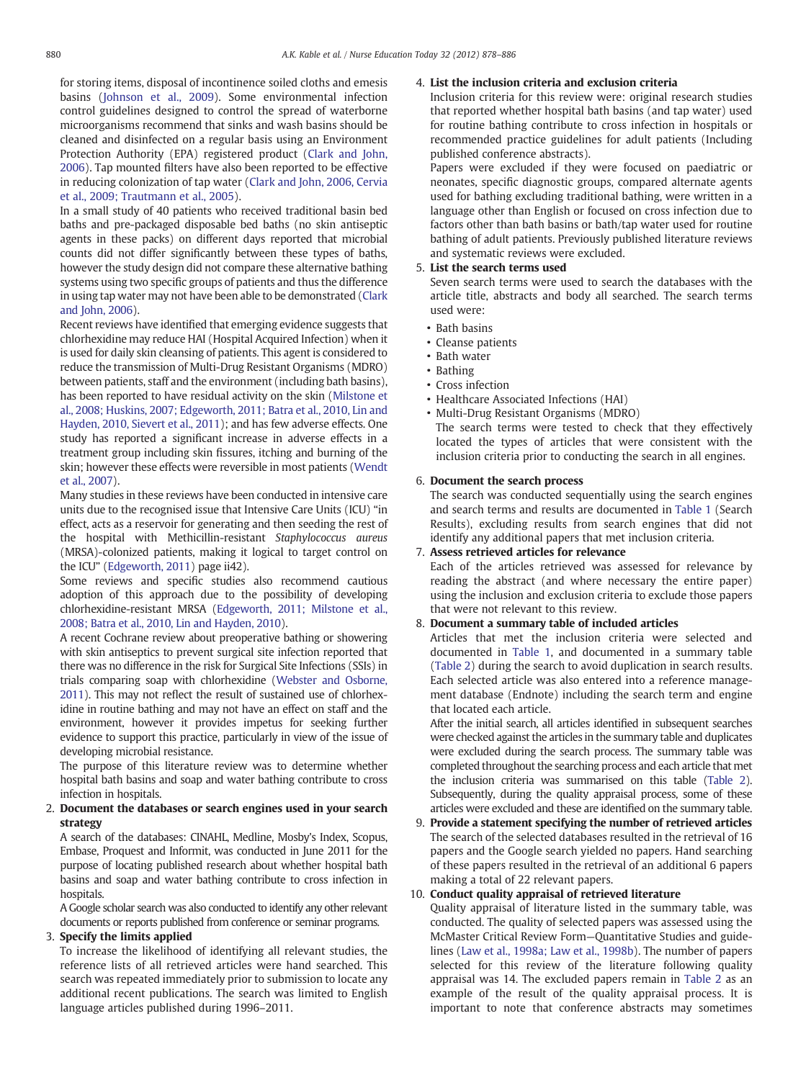for storing items, disposal of incontinence soiled cloths and emesis basins ([Johnson et al., 2009](#page-8-0)). Some environmental infection control guidelines designed to control the spread of waterborne microorganisms recommend that sinks and wash basins should be cleaned and disinfected on a regular basis using an Environment Protection Authority (EPA) registered product [\(Clark and John,](#page-8-0) [2006](#page-8-0)). Tap mounted filters have also been reported to be effective in reducing colonization of tap water [\(Clark and John, 2006, Cervia](#page-8-0) [et al., 2009; Trautmann et al., 2005\)](#page-8-0).

In a small study of 40 patients who received traditional basin bed baths and pre-packaged disposable bed baths (no skin antiseptic agents in these packs) on different days reported that microbial counts did not differ significantly between these types of baths, however the study design did not compare these alternative bathing systems using two specific groups of patients and thus the difference in using tap water may not have been able to be demonstrated [\(Clark](#page-8-0) and  $\lambda$  lohn,  $2006$ ).

Recent reviews have identified that emerging evidence suggests that chlorhexidine may reduce HAI (Hospital Acquired Infection) when it is used for daily skin cleansing of patients. This agent is considered to reduce the transmission of Multi-Drug Resistant Organisms (MDRO) between patients, staff and the environment (including bath basins), has been reported to have residual activity on the skin [\(Milstone et](#page-8-0) [al., 2008; Huskins, 2007; Edgeworth, 2011; Batra et al., 2010, Lin and](#page-8-0) [Hayden, 2010, Sievert et al., 2011\)](#page-8-0); and has few adverse effects. One study has reported a significant increase in adverse effects in a treatment group including skin fissures, itching and burning of the skin; however these effects were reversible in most patients [\(Wendt](#page-8-0) [et al., 2007\)](#page-8-0).

Many studies in these reviews have been conducted in intensive care units due to the recognised issue that Intensive Care Units (ICU) "in effect, acts as a reservoir for generating and then seeding the rest of the hospital with Methicillin-resistant Staphylococcus aureus (MRSA)-colonized patients, making it logical to target control on the ICU" [\(Edgeworth, 2011\)](#page-8-0) page ii42).

Some reviews and specific studies also recommend cautious adoption of this approach due to the possibility of developing chlorhexidine-resistant MRSA [\(Edgeworth, 2011; Milstone et al.,](#page-8-0) [2008; Batra et al., 2010, Lin and Hayden, 2010](#page-8-0)).

A recent Cochrane review about preoperative bathing or showering with skin antiseptics to prevent surgical site infection reported that there was no difference in the risk for Surgical Site Infections (SSIs) in trials comparing soap with chlorhexidine [\(Webster and Osborne,](#page-8-0) [2011\)](#page-8-0). This may not reflect the result of sustained use of chlorhexidine in routine bathing and may not have an effect on staff and the environment, however it provides impetus for seeking further evidence to support this practice, particularly in view of the issue of developing microbial resistance.

The purpose of this literature review was to determine whether hospital bath basins and soap and water bathing contribute to cross infection in hospitals.

### 2. Document the databases or search engines used in your search strategy

A search of the databases: CINAHL, Medline, Mosby's Index, Scopus, Embase, Proquest and Informit, was conducted in June 2011 for the purpose of locating published research about whether hospital bath basins and soap and water bathing contribute to cross infection in hospitals.

A Google scholar search was also conducted to identify any other relevant documents or reports published from conference or seminar programs.

# 3. Specify the limits applied

To increase the likelihood of identifying all relevant studies, the reference lists of all retrieved articles were hand searched. This search was repeated immediately prior to submission to locate any additional recent publications. The search was limited to English language articles published during 1996–2011.

# 4. List the inclusion criteria and exclusion criteria

Inclusion criteria for this review were: original research studies that reported whether hospital bath basins (and tap water) used for routine bathing contribute to cross infection in hospitals or recommended practice guidelines for adult patients (Including published conference abstracts).

Papers were excluded if they were focused on paediatric or neonates, specific diagnostic groups, compared alternate agents used for bathing excluding traditional bathing, were written in a language other than English or focused on cross infection due to factors other than bath basins or bath/tap water used for routine bathing of adult patients. Previously published literature reviews and systematic reviews were excluded.

### 5. List the search terms used

Seven search terms were used to search the databases with the article title, abstracts and body all searched. The search terms used were:

- Bath basins
- Cleanse patients
- Bath water
- Bathing
- Cross infection
- Healthcare Associated Infections (HAI)
- Multi-Drug Resistant Organisms (MDRO) The search terms were tested to check that they effectively located the types of articles that were consistent with the

# 6. Document the search process

The search was conducted sequentially using the search engines and search terms and results are documented in [Table 1](#page-3-0) (Search Results), excluding results from search engines that did not identify any additional papers that met inclusion criteria.

inclusion criteria prior to conducting the search in all engines.

#### 7. Assess retrieved articles for relevance

Each of the articles retrieved was assessed for relevance by reading the abstract (and where necessary the entire paper) using the inclusion and exclusion criteria to exclude those papers that were not relevant to this review.

# 8. Document a summary table of included articles

Articles that met the inclusion criteria were selected and documented in [Table 1,](#page-3-0) and documented in a summary table ([Table 2\)](#page-4-0) during the search to avoid duplication in search results. Each selected article was also entered into a reference management database (Endnote) including the search term and engine that located each article.

After the initial search, all articles identified in subsequent searches were checked against the articles in the summary table and duplicates were excluded during the search process. The summary table was completed throughout the searching process and each article that met the inclusion criteria was summarised on this table [\(Table 2\)](#page-4-0). Subsequently, during the quality appraisal process, some of these articles were excluded and these are identified on the summary table.

9. Provide a statement specifying the number of retrieved articles The search of the selected databases resulted in the retrieval of 16 papers and the Google search yielded no papers. Hand searching of these papers resulted in the retrieval of an additional 6 papers making a total of 22 relevant papers.

#### 10. Conduct quality appraisal of retrieved literature

Quality appraisal of literature listed in the summary table, was conducted. The quality of selected papers was assessed using the McMaster Critical Review Form—Quantitative Studies and guidelines ([Law et al., 1998a; Law et al., 1998b](#page-8-0)). The number of papers selected for this review of the literature following quality appraisal was 14. The excluded papers remain in [Table 2](#page-4-0) as an example of the result of the quality appraisal process. It is important to note that conference abstracts may sometimes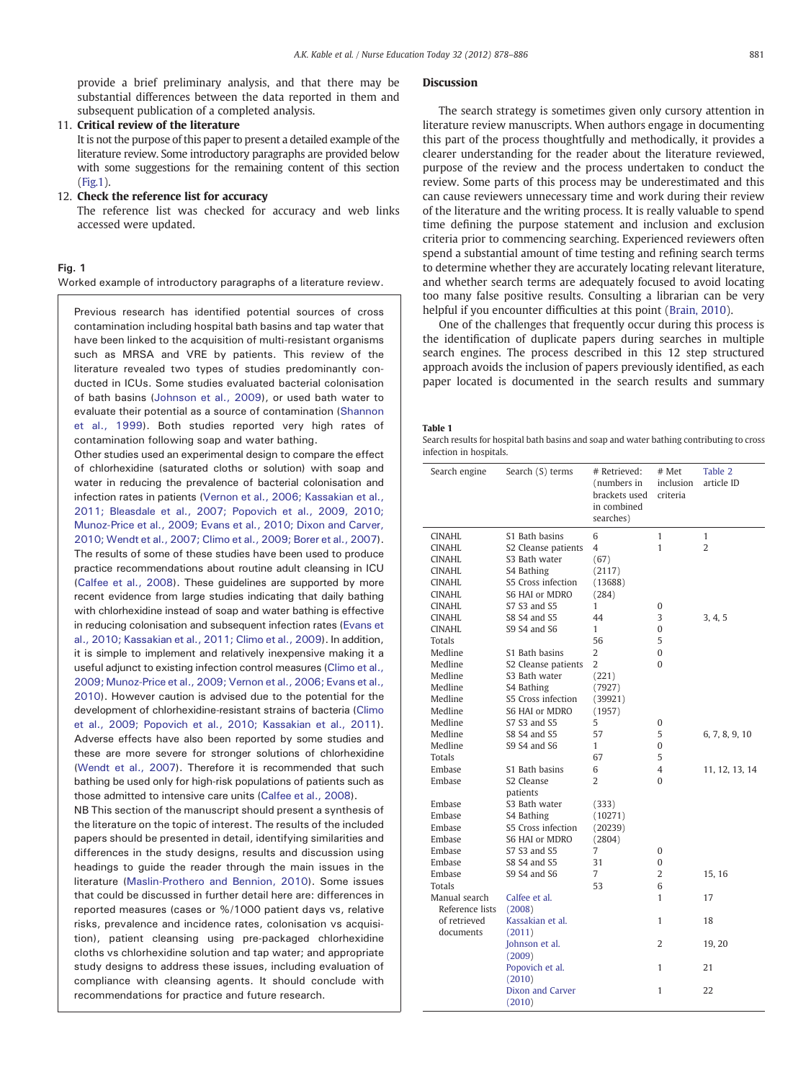<span id="page-3-0"></span>provide a brief preliminary analysis, and that there may be substantial differences between the data reported in them and subsequent publication of a completed analysis.

#### 11. Critical review of the literature

It is not the purpose of this paper to present a detailed example of the literature review. Some introductory paragraphs are provided below with some suggestions for the remaining content of this section (Fig.1).

#### 12. Check the reference list for accuracy

The reference list was checked for accuracy and web links accessed were updated.

Fig. 1 Worked example of introductory paragraphs of a literature review.

Previous research has identified potential sources of cross contamination including hospital bath basins and tap water that have been linked to the acquisition of multi-resistant organisms such as MRSA and VRE by patients. This review of the literature revealed two types of studies predominantly conducted in ICUs. Some studies evaluated bacterial colonisation of bath basins [\(Johnson et al., 2009](#page-8-0)), or used bath water to evaluate their potential as a source of contamination ([Shannon](#page-8-0) [et al., 1999\)](#page-8-0). Both studies reported very high rates of contamination following soap and water bathing.

Other studies used an experimental design to compare the effect of chlorhexidine (saturated cloths or solution) with soap and water in reducing the prevalence of bacterial colonisation and infection rates in patients [\(Vernon et al., 2006; Kassakian et al.,](#page-8-0) [2011; Bleasdale et al., 2007; Popovich et al., 2009, 2010;](#page-8-0) [Munoz-Price et al., 2009; Evans et al., 2010; Dixon and Carver,](#page-8-0) [2010; Wendt et al., 2007; Climo et al., 2009; Borer et al., 2007\)](#page-8-0). The results of some of these studies have been used to produce practice recommendations about routine adult cleansing in ICU [\(Calfee et al., 2008\)](#page-8-0). These guidelines are supported by more recent evidence from large studies indicating that daily bathing with chlorhexidine instead of soap and water bathing is effective in reducing colonisation and subsequent infection rates [\(Evans et](#page-8-0) [al., 2010; Kassakian et al., 2011; Climo et al., 2009](#page-8-0)). In addition, it is simple to implement and relatively inexpensive making it a useful adjunct to existing infection control measures [\(Climo et al.,](#page-8-0) [2009; Munoz-Price et al., 2009; Vernon et al., 2006; Evans et al.,](#page-8-0) [2010\)](#page-8-0). However caution is advised due to the potential for the development of chlorhexidine-resistant strains of bacteria ([Climo](#page-8-0) [et al., 2009; Popovich et al., 2010; Kassakian et al., 2011\)](#page-8-0). Adverse effects have also been reported by some studies and these are more severe for stronger solutions of chlorhexidine [\(Wendt et al., 2007](#page-8-0)). Therefore it is recommended that such bathing be used only for high-risk populations of patients such as those admitted to intensive care units ([Calfee et al., 2008\)](#page-8-0). NB This section of the manuscript should present a synthesis of the literature on the topic of interest. The results of the included papers should be presented in detail, identifying similarities and differences in the study designs, results and discussion using headings to guide the reader through the main issues in the literature [\(Maslin-Prothero and Bennion, 2010](#page-8-0)). Some issues that could be discussed in further detail here are: differences in reported measures (cases or %/1000 patient days vs, relative risks, prevalence and incidence rates, colonisation vs acquisition), patient cleansing using pre-packaged chlorhexidine cloths vs chlorhexidine solution and tap water; and appropriate study designs to address these issues, including evaluation of compliance with cleansing agents. It should conclude with recommendations for practice and future research.

# Discussion

The search strategy is sometimes given only cursory attention in literature review manuscripts. When authors engage in documenting this part of the process thoughtfully and methodically, it provides a clearer understanding for the reader about the literature reviewed, purpose of the review and the process undertaken to conduct the review. Some parts of this process may be underestimated and this can cause reviewers unnecessary time and work during their review of the literature and the writing process. It is really valuable to spend time defining the purpose statement and inclusion and exclusion criteria prior to commencing searching. Experienced reviewers often spend a substantial amount of time testing and refining search terms to determine whether they are accurately locating relevant literature, and whether search terms are adequately focused to avoid locating too many false positive results. Consulting a librarian can be very helpful if you encounter difficulties at this point ([Brain, 2010](#page-8-0)).

One of the challenges that frequently occur during this process is the identification of duplicate papers during searches in multiple search engines. The process described in this 12 step structured approach avoids the inclusion of papers previously identified, as each paper located is documented in the search results and summary

#### Table 1

Search results for hospital bath basins and soap and water bathing contributing to cross infection in hospitals.

| Search engine    | Search (S) terms               | # Retrieved:<br>(numbers in<br>brackets used<br>in combined<br>searches) | # Met<br>inclusion<br>criteria | Table 2<br>article ID |
|------------------|--------------------------------|--------------------------------------------------------------------------|--------------------------------|-----------------------|
| <b>CINAHL</b>    | S1 Bath basins                 | 6                                                                        | $\mathbf{1}$                   | $\mathbf{1}$          |
| <b>CINAHL</b>    | S2 Cleanse patients            | 4                                                                        | 1                              | 2                     |
| CINAHL           | S3 Bath water                  | (67)                                                                     |                                |                       |
| <b>CINAHL</b>    | S4 Bathing                     | (2117)                                                                   |                                |                       |
| CINAHL           | S5 Cross infection             | (13688)                                                                  |                                |                       |
| <b>CINAHL</b>    | S6 HAI or MDRO                 | (284)                                                                    |                                |                       |
| <b>CINAHL</b>    | S7 S3 and S5                   | 1                                                                        | 0                              |                       |
| <b>CINAHL</b>    | S8 S4 and S5                   | 44                                                                       | 3                              | 3, 4, 5               |
| <b>CINAHL</b>    | S9 S4 and S6                   | 1                                                                        | 0                              |                       |
| Totals           |                                | 56                                                                       | 5                              |                       |
| Medline          | S1 Bath basins                 | 2                                                                        | 0                              |                       |
| Medline          | S2 Cleanse patients            | $\overline{2}$                                                           | $\Omega$                       |                       |
| Medline          | S3 Bath water                  | (221)                                                                    |                                |                       |
| Medline          | S4 Bathing                     | (7927)                                                                   |                                |                       |
| Medline          | S5 Cross infection             | (39921)                                                                  |                                |                       |
| Medline          | S6 HAI or MDRO                 | (1957)                                                                   |                                |                       |
| Medline          | S7 S3 and S5                   | 5                                                                        | 0                              |                       |
| Medline          | S8 S4 and S5                   | 57                                                                       | 5                              | 6, 7, 8, 9, 10        |
| Medline          | S9 S4 and S6                   | $\mathbf{1}$                                                             | 0                              |                       |
| Totals           |                                | 67                                                                       | 5                              |                       |
| Embase           | S1 Bath basins                 | 6                                                                        | 4                              | 11, 12, 13, 14        |
| Embase           | S <sub>2</sub> Cleanse         | $\overline{2}$                                                           | $\Omega$                       |                       |
|                  | patients                       |                                                                          |                                |                       |
| Embase           | S3 Bath water                  | (333)                                                                    |                                |                       |
| Embase           | S4 Bathing                     | (10271)                                                                  |                                |                       |
| Embase           | S5 Cross infection             | (20239)                                                                  |                                |                       |
| Embase<br>Embase | S6 HAI or MDRO<br>S7 S3 and S5 | (2804)<br>7                                                              | 0                              |                       |
| Embase           | S8 S4 and S5                   | 31                                                                       | 0                              |                       |
| Embase           | S9 S4 and S6                   | 7                                                                        | 2                              | 15, 16                |
| Totals           |                                | 53                                                                       | 6                              |                       |
| Manual search    | Calfee et al.                  |                                                                          | 1                              | 17                    |
| Reference lists  | (2008)                         |                                                                          |                                |                       |
| of retrieved     | Kassakian et al.               |                                                                          | 1                              | 18                    |
| documents        | (2011)                         |                                                                          |                                |                       |
|                  | Johnson et al.                 |                                                                          | $\overline{2}$                 | 19, 20                |
|                  | (2009)                         |                                                                          |                                |                       |
|                  | Popovich et al.                |                                                                          | 1                              | 21                    |
|                  | (2010)                         |                                                                          |                                |                       |
|                  | Dixon and Carver               |                                                                          | 1                              | 22                    |
|                  | (2010)                         |                                                                          |                                |                       |
|                  |                                |                                                                          |                                |                       |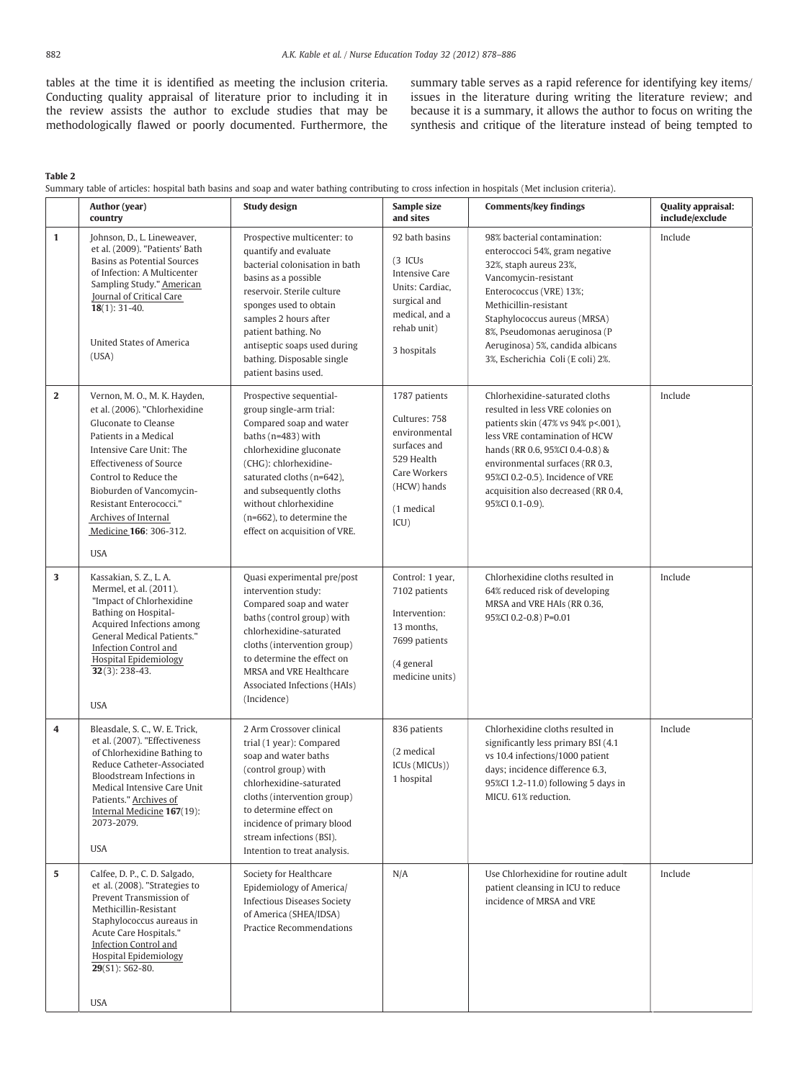<span id="page-4-0"></span>tables at the time it is identified as meeting the inclusion criteria. Conducting quality appraisal of literature prior to including it in the review assists the author to exclude studies that may be methodologically flawed or poorly documented. Furthermore, the summary table serves as a rapid reference for identifying key items/ issues in the literature during writing the literature review; and because it is a summary, it allows the author to focus on writing the synthesis and critique of the literature instead of being tempted to

#### Table 2

| Summary table of articles: hospital bath basins and soap and water bathing contributing to cross infection in hospitals (Met inclusion criteria). |  |  |
|---------------------------------------------------------------------------------------------------------------------------------------------------|--|--|
|                                                                                                                                                   |  |  |

|              | Author (year)<br>country                                                                                                                                                                                                                                                                                                     | <b>Study design</b>                                                                                                                                                                                                                                                                                           | Sample size<br>and sites                                                                                                              | <b>Comments/key findings</b>                                                                                                                                                                                                                                                                                   | Quality appraisal:<br>include/exclude |
|--------------|------------------------------------------------------------------------------------------------------------------------------------------------------------------------------------------------------------------------------------------------------------------------------------------------------------------------------|---------------------------------------------------------------------------------------------------------------------------------------------------------------------------------------------------------------------------------------------------------------------------------------------------------------|---------------------------------------------------------------------------------------------------------------------------------------|----------------------------------------------------------------------------------------------------------------------------------------------------------------------------------------------------------------------------------------------------------------------------------------------------------------|---------------------------------------|
| $\mathbf{1}$ | Johnson, D., L. Lineweaver,<br>et al. (2009). "Patients' Bath<br><b>Basins as Potential Sources</b><br>of Infection: A Multicenter<br>Sampling Study." American<br>Journal of Critical Care<br>$18(1)$ : 31-40.<br>United States of America<br>(USA)                                                                         | Prospective multicenter: to<br>quantify and evaluate<br>bacterial colonisation in bath<br>basins as a possible<br>reservoir. Sterile culture<br>sponges used to obtain<br>samples 2 hours after<br>patient bathing. No<br>antiseptic soaps used during<br>bathing. Disposable single<br>patient basins used.  | 92 bath basins<br>(3 ICUs<br><b>Intensive Care</b><br>Units: Cardiac,<br>surgical and<br>medical, and a<br>rehab unit)<br>3 hospitals | 98% bacterial contamination:<br>enteroccoci 54%, gram negative<br>32%, staph aureus 23%,<br>Vancomycin-resistant<br>Enterococcus (VRE) 13%;<br>Methicillin-resistant<br>Staphylococcus aureus (MRSA)<br>8%, Pseudomonas aeruginosa (P<br>Aeruginosa) 5%, candida albicans<br>3%, Escherichia Coli (E coli) 2%. | Include                               |
| $\mathbf{2}$ | Vernon, M. O., M. K. Hayden,<br>et al. (2006). "Chlorhexidine<br>Gluconate to Cleanse<br>Patients in a Medical<br>Intensive Care Unit: The<br><b>Effectiveness of Source</b><br>Control to Reduce the<br>Bioburden of Vancomycin-<br>Resistant Enterococci."<br>Archives of Internal<br>Medicine 166: 306-312.<br><b>USA</b> | Prospective sequential-<br>group single-arm trial:<br>Compared soap and water<br>baths ( $n=483$ ) with<br>chlorhexidine gluconate<br>(CHG): chlorhexidine-<br>saturated cloths (n=642),<br>and subsequently cloths<br>without chlorhexidine<br>$(n=662)$ , to determine the<br>effect on acquisition of VRE. | 1787 patients<br>Cultures: 758<br>environmental<br>surfaces and<br>529 Health<br>Care Workers<br>(HCW) hands<br>(1 medical<br>ICU)    | Chlorhexidine-saturated cloths<br>resulted in less VRE colonies on<br>patients skin (47% vs 94% p<.001),<br>less VRE contamination of HCW<br>hands (RR 0.6, 95%CI 0.4-0.8) &<br>environmental surfaces (RR 0.3,<br>95%CI 0.2-0.5). Incidence of VRE<br>acquisition also decreased (RR 0.4,<br>95%CI 0.1-0.9).  | Include                               |
| 3            | Kassakian, S. Z., L. A.<br>Mermel, et al. (2011).<br>"Impact of Chlorhexidine<br>Bathing on Hospital-<br>Acquired Infections among<br>General Medical Patients."<br>Infection Control and<br>Hospital Epidemiology<br>$32(3)$ : 238-43.<br><b>USA</b>                                                                        | Quasi experimental pre/post<br>intervention study:<br>Compared soap and water<br>baths (control group) with<br>chlorhexidine-saturated<br>cloths (intervention group)<br>to determine the effect on<br>MRSA and VRE Healthcare<br>Associated Infections (HAIs)<br>(Incidence)                                 | Control: 1 year,<br>7102 patients<br>Intervention:<br>13 months,<br>7699 patients<br>(4 general<br>medicine units)                    | Chlorhexidine cloths resulted in<br>64% reduced risk of developing<br>MRSA and VRE HAIs (RR 0.36,<br>95%CI 0.2-0.8) P=0.01                                                                                                                                                                                     | Include                               |
| 4            | Bleasdale, S. C., W. E. Trick,<br>et al. (2007). "Effectiveness<br>of Chlorhexidine Bathing to<br>Reduce Catheter-Associated<br>Bloodstream Infections in<br>Medical Intensive Care Unit<br>Patients." Archives of<br>Internal Medicine 167(19):<br>2073-2079.<br><b>USA</b>                                                 | 2 Arm Crossover clinical<br>trial (1 year): Compared<br>soap and water baths<br>(control group) with<br>chlorhexidine-saturated<br>cloths (intervention group)<br>to determine effect on<br>incidence of primary blood<br>stream infections (BSI).<br>Intention to treat analysis.                            | 836 patients<br>(2 medical<br>ICUs (MICUs))<br>1 hospital                                                                             | Chlorhexidine cloths resulted in<br>significantly less primary BSI (4.1<br>vs 10.4 infections/1000 patient<br>days; incidence difference 6.3,<br>95%CI 1.2-11.0) following 5 days in<br>MICU, 61% reduction.                                                                                                   | Include                               |
| 5            | Calfee, D. P., C. D. Salgado,<br>et al. (2008). "Strategies to<br>Prevent Transmission of<br>Methicillin-Resistant<br>Staphylococcus aureaus in<br>Acute Care Hospitals."<br><b>Infection Control and</b><br>Hospital Epidemiology<br>$29(51)$ : S62-80.                                                                     | Society for Healthcare<br>Epidemiology of America/<br><b>Infectious Diseases Society</b><br>of America (SHEA/IDSA)<br>Practice Recommendations                                                                                                                                                                | N/A                                                                                                                                   | Use Chlorhexidine for routine adult<br>patient cleansing in ICU to reduce<br>incidence of MRSA and VRE                                                                                                                                                                                                         | Include                               |
|              | <b>USA</b>                                                                                                                                                                                                                                                                                                                   |                                                                                                                                                                                                                                                                                                               |                                                                                                                                       |                                                                                                                                                                                                                                                                                                                |                                       |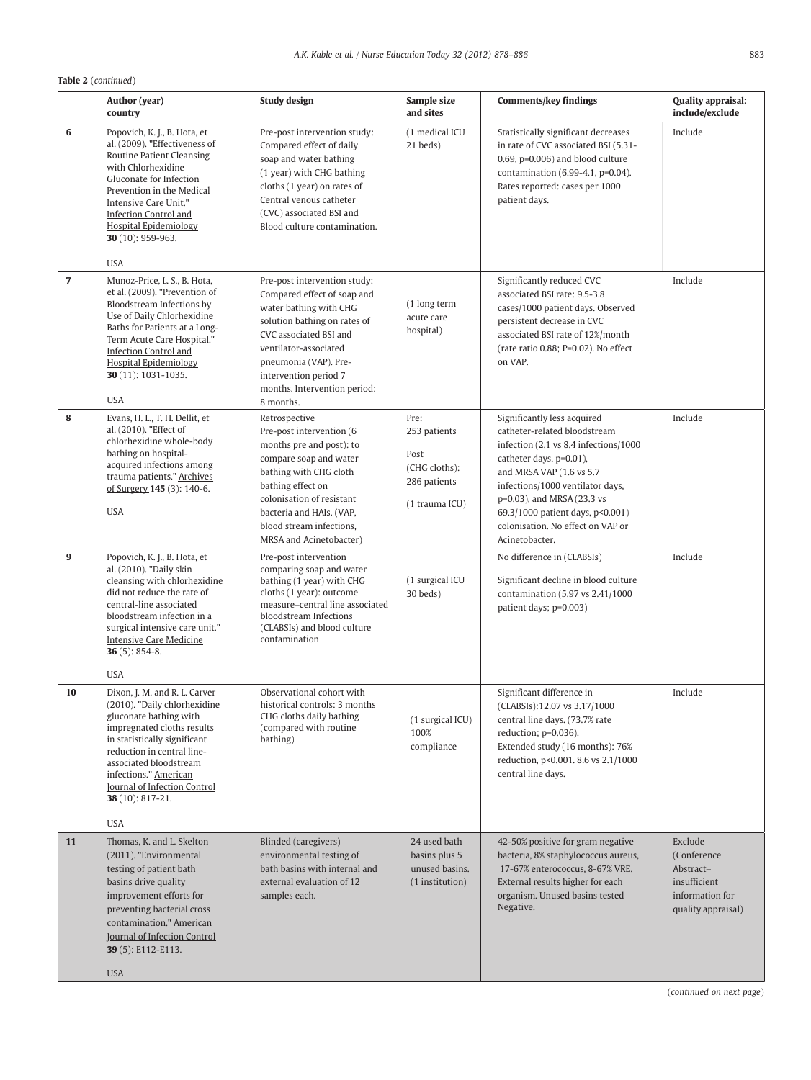# Table 2 (continued)

|                | Author (year)<br>country                                                                                                                                                                                                                                                                                 | <b>Study design</b>                                                                                                                                                                                                                                                         | Sample size<br>and sites                                                        | <b>Comments/key findings</b>                                                                                                                                                                                                                                                                                              | Quality appraisal:<br>include/exclude                                                        |
|----------------|----------------------------------------------------------------------------------------------------------------------------------------------------------------------------------------------------------------------------------------------------------------------------------------------------------|-----------------------------------------------------------------------------------------------------------------------------------------------------------------------------------------------------------------------------------------------------------------------------|---------------------------------------------------------------------------------|---------------------------------------------------------------------------------------------------------------------------------------------------------------------------------------------------------------------------------------------------------------------------------------------------------------------------|----------------------------------------------------------------------------------------------|
| 6              | Popovich, K. J., B. Hota, et<br>al. (2009). "Effectiveness of<br>Routine Patient Cleansing<br>with Chlorhexidine<br>Gluconate for Infection<br>Prevention in the Medical<br>Intensive Care Unit."<br><b>Infection Control and</b><br><b>Hospital Epidemiology</b><br>30 (10): 959-963.<br><b>USA</b>     | Pre-post intervention study:<br>Compared effect of daily<br>soap and water bathing<br>(1 year) with CHG bathing<br>cloths (1 year) on rates of<br>Central venous catheter<br>(CVC) associated BSI and<br>Blood culture contamination.                                       | (1 medical ICU<br>21 beds)                                                      | Statistically significant decreases<br>in rate of CVC associated BSI (5.31-<br>$0.69$ , $p=0.006$ ) and blood culture<br>contamination (6.99-4.1, p=0.04).<br>Rates reported: cases per 1000<br>patient days.                                                                                                             | Include                                                                                      |
| $\overline{7}$ | Munoz-Price, L. S., B. Hota,<br>et al. (2009). "Prevention of<br>Bloodstream Infections by<br>Use of Daily Chlorhexidine<br>Baths for Patients at a Long-<br>Term Acute Care Hospital."<br><b>Infection Control and</b><br><b>Hospital Epidemiology</b><br>30 (11): 1031-1035.<br><b>USA</b>             | Pre-post intervention study:<br>Compared effect of soap and<br>water bathing with CHG<br>solution bathing on rates of<br>CVC associated BSI and<br>ventilator-associated<br>pneumonia (VAP). Pre-<br>intervention period 7<br>months. Intervention period:                  | (1 long term<br>acute care<br>hospital)                                         | Significantly reduced CVC<br>associated BSI rate: 9.5-3.8<br>cases/1000 patient days. Observed<br>persistent decrease in CVC<br>associated BSI rate of 12%/month<br>(rate ratio 0.88; P=0.02). No effect<br>on VAP.                                                                                                       | Include                                                                                      |
| 8              | Evans, H. L., T. H. Dellit, et<br>al. (2010). "Effect of<br>chlorhexidine whole-body<br>bathing on hospital-<br>acquired infections among<br>trauma patients." Archives<br>of Surgery 145 (3): 140-6.<br><b>USA</b>                                                                                      | 8 months.<br>Retrospective<br>Pre-post intervention (6<br>months pre and post); to<br>compare soap and water<br>bathing with CHG cloth<br>bathing effect on<br>colonisation of resistant<br>bacteria and HAIs. (VAP,<br>blood stream infections,<br>MRSA and Acinetobacter) | Pre:<br>253 patients<br>Post<br>(CHG cloths):<br>286 patients<br>(1 trauma ICU) | Significantly less acquired<br>catheter-related bloodstream<br>infection (2.1 vs 8.4 infections/1000<br>catheter days, p=0.01),<br>and MRSA VAP (1.6 vs 5.7)<br>infections/1000 ventilator days,<br>p=0.03), and MRSA (23.3 vs<br>69.3/1000 patient days, p<0.001)<br>colonisation. No effect on VAP or<br>Acinetobacter. | Include                                                                                      |
| 9              | Popovich, K. J., B. Hota, et<br>al. (2010). "Daily skin<br>cleansing with chlorhexidine<br>did not reduce the rate of<br>central-line associated<br>bloodstream infection in a<br>surgical intensive care unit."<br>Intensive Care Medicine<br>$36(5): 854-8.$<br><b>USA</b>                             | Pre-post intervention<br>comparing soap and water<br>bathing (1 year) with CHG<br>cloths (1 year): outcome<br>measure-central line associated<br>bloodstream Infections<br>(CLABSIs) and blood culture<br>contamination                                                     | (1 surgical ICU<br>30 beds)                                                     | No difference in (CLABSIs)<br>Significant decline in blood culture<br>contamination (5.97 vs 2.41/1000<br>patient days; p=0.003)                                                                                                                                                                                          | Include                                                                                      |
| 10             | Dixon, J. M. and R. L. Carver<br>(2010). "Daily chlorhexidine<br>gluconate bathing with<br>impregnated cloths results<br>in statistically significant<br>reduction in central line-<br>associated bloodstream<br>infections." American<br>Journal of Infection Control<br>38 (10): 817-21.<br><b>USA</b> | Observational cohort with<br>historical controls: 3 months<br>CHG cloths daily bathing<br>(compared with routine<br>bathing)                                                                                                                                                | (1 surgical ICU)<br>100%<br>compliance                                          | Significant difference in<br>(CLABSIs):12.07 vs 3.17/1000<br>central line days. (73.7% rate<br>reduction; p=0.036).<br>Extended study (16 months): 76%<br>reduction, p<0.001, 8.6 vs 2.1/1000<br>central line days.                                                                                                       | Include                                                                                      |
| 11             | Thomas, K. and L. Skelton<br>(2011). "Environmental<br>testing of patient bath<br>basins drive quality<br>improvement efforts for<br>preventing bacterial cross<br>contamination." American<br>Journal of Infection Control<br>39 (5): E112-E113.<br><b>USA</b>                                          | Blinded (caregivers)<br>environmental testing of<br>bath basins with internal and<br>external evaluation of 12<br>samples each.                                                                                                                                             | 24 used bath<br>basins plus 5<br>unused basins.<br>(1 institution)              | 42-50% positive for gram negative<br>bacteria, 8% staphylococcus aureus,<br>17-67% enterococcus, 8-67% VRE.<br>External results higher for each<br>organism. Unused basins tested<br>Negative.                                                                                                                            | Exclude<br>(Conference<br>Abstract-<br>insufficient<br>information for<br>quality appraisal) |

(continued on next page)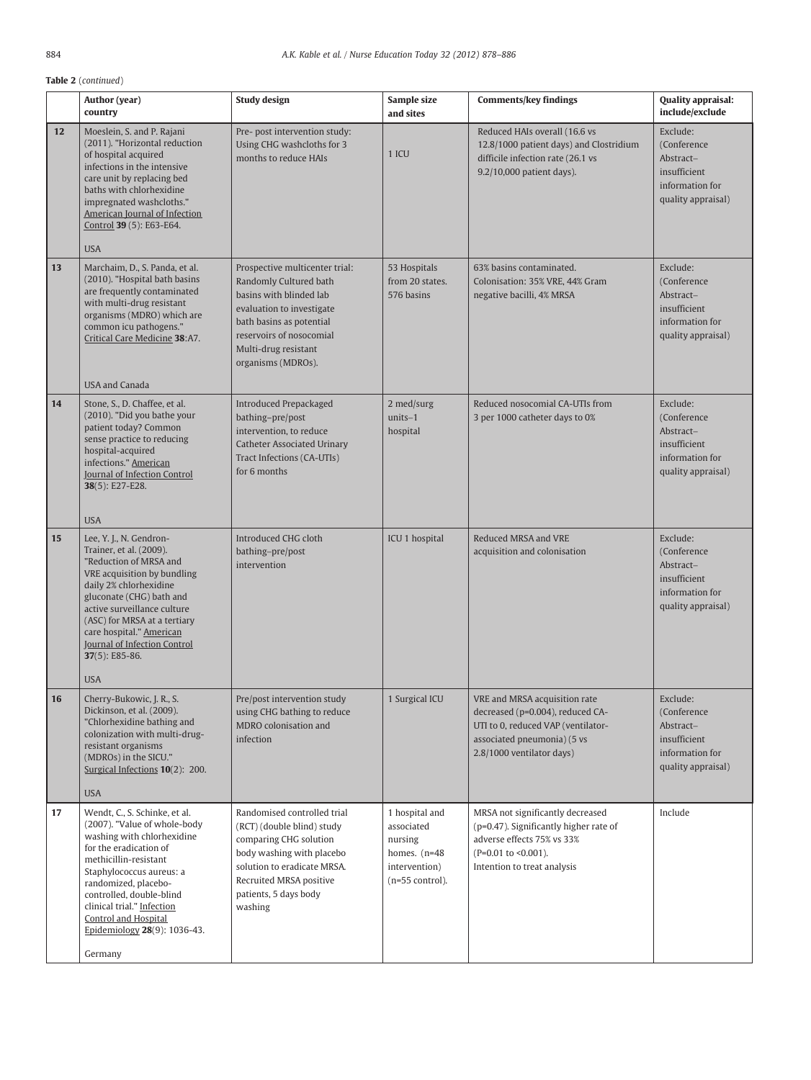Table 2 (continued)

|    | Author (year)<br>country                                                                                                                                                                                                                                                                                                         | <b>Study design</b>                                                                                                                                                                                                    | Sample size<br>and sites                                                                         | <b>Comments/key findings</b>                                                                                                                                        | Quality appraisal:<br>include/exclude                                                          |
|----|----------------------------------------------------------------------------------------------------------------------------------------------------------------------------------------------------------------------------------------------------------------------------------------------------------------------------------|------------------------------------------------------------------------------------------------------------------------------------------------------------------------------------------------------------------------|--------------------------------------------------------------------------------------------------|---------------------------------------------------------------------------------------------------------------------------------------------------------------------|------------------------------------------------------------------------------------------------|
| 12 | Moeslein, S. and P. Rajani<br>(2011). "Horizontal reduction<br>of hospital acquired<br>infections in the intensive<br>care unit by replacing bed<br>baths with chlorhexidine<br>impregnated washcloths."<br>American Journal of Infection<br>Control 39 (5): E63-E64.<br><b>USA</b>                                              | Pre- post intervention study:<br>Using CHG washcloths for 3<br>months to reduce HAIs                                                                                                                                   | 1 ICU                                                                                            | Reduced HAIs overall (16.6 vs<br>12.8/1000 patient days) and Clostridium<br>difficile infection rate (26.1 vs<br>9.2/10,000 patient days).                          | Exclude:<br>(Conference<br>Abstract-<br>insufficient<br>information for<br>quality appraisal)  |
| 13 | Marchaim, D., S. Panda, et al.<br>(2010). "Hospital bath basins<br>are frequently contaminated<br>with multi-drug resistant<br>organisms (MDRO) which are<br>common icu pathogens."<br>Critical Care Medicine 38:A7.<br><b>USA</b> and Canada                                                                                    | Prospective multicenter trial:<br>Randomly Cultured bath<br>basins with blinded lab<br>evaluation to investigate<br>bath basins as potential<br>reservoirs of nosocomial<br>Multi-drug resistant<br>organisms (MDROs). | 53 Hospitals<br>from 20 states.<br>576 basins                                                    | 63% basins contaminated.<br>Colonisation: 35% VRE, 44% Gram<br>negative bacilli, 4% MRSA                                                                            | Exclude:<br>(Conference)<br>Abstract-<br>insufficient<br>information for<br>quality appraisal) |
| 14 | Stone, S., D. Chaffee, et al.<br>(2010). "Did you bathe your<br>patient today? Common<br>sense practice to reducing<br>hospital-acquired<br>infections." American<br>Journal of Infection Control<br>38(5): E27-E28.<br><b>USA</b>                                                                                               | Introduced Prepackaged<br>bathing-pre/post<br>intervention, to reduce<br>Catheter Associated Urinary<br>Tract Infections (CA-UTIs)<br>for 6 months                                                                     | 2 med/surg<br>$units-1$<br>hospital                                                              | Reduced nosocomial CA-UTIs from<br>3 per 1000 catheter days to 0%                                                                                                   | Exclude:<br>(Conference)<br>Abstract-<br>insufficient<br>information for<br>quality appraisal) |
| 15 | Lee, Y. J., N. Gendron-<br>Trainer, et al. (2009).<br>"Reduction of MRSA and<br>VRE acquisition by bundling<br>daily 2% chlorhexidine<br>gluconate (CHG) bath and<br>active surveillance culture<br>(ASC) for MRSA at a tertiary<br>care hospital." American<br>Journal of Infection Control<br>37 $(5)$ : E85-86.<br><b>USA</b> | Introduced CHG cloth<br>bathing-pre/post<br>intervention                                                                                                                                                               | ICU 1 hospital                                                                                   | Reduced MRSA and VRE<br>acquisition and colonisation                                                                                                                | Exclude:<br>(Conference)<br>Abstract-<br>insufficient<br>information for<br>quality appraisal) |
| 16 | Cherry-Bukowic, J. R., S.<br>Dickinson, et al. (2009).<br>"Chlorhexidine bathing and<br>colonization with multi-drug-<br>resistant organisms<br>(MDROs) in the SICU."<br>Surgical Infections 10(2): 200.<br><b>USA</b>                                                                                                           | Pre/post intervention study<br>using CHG bathing to reduce<br>MDRO colonisation and<br>infection                                                                                                                       | 1 Surgical ICU                                                                                   | VRE and MRSA acquisition rate<br>decreased (p=0.004), reduced CA-<br>UTI to 0, reduced VAP (ventilator-<br>associated pneumonia) (5 vs<br>2.8/1000 ventilator days) | Exclude:<br>(Conference<br>Abstract-<br>insufficient<br>information for<br>quality appraisal)  |
| 17 | Wendt, C., S. Schinke, et al.<br>(2007). "Value of whole-body<br>washing with chlorhexidine<br>for the eradication of<br>methicillin-resistant<br>Staphylococcus aureus: a<br>randomized, placebo-<br>controlled, double-blind<br>clinical trial." Infection<br>Control and Hospital<br>Epidemiology 28(9): 1036-43.<br>Germany  | Randomised controlled trial<br>(RCT) (double blind) study<br>comparing CHG solution<br>body washing with placebo<br>solution to eradicate MRSA.<br>Recruited MRSA positive<br>patients, 5 days body<br>washing         | 1 hospital and<br>associated<br>nursing<br>homes. $(n=48)$<br>intervention)<br>$(n=55$ control). | MRSA not significantly decreased<br>(p=0.47). Significantly higher rate of<br>adverse effects 75% vs 33%<br>(P=0.01 to <0.001).<br>Intention to treat analysis      | Include                                                                                        |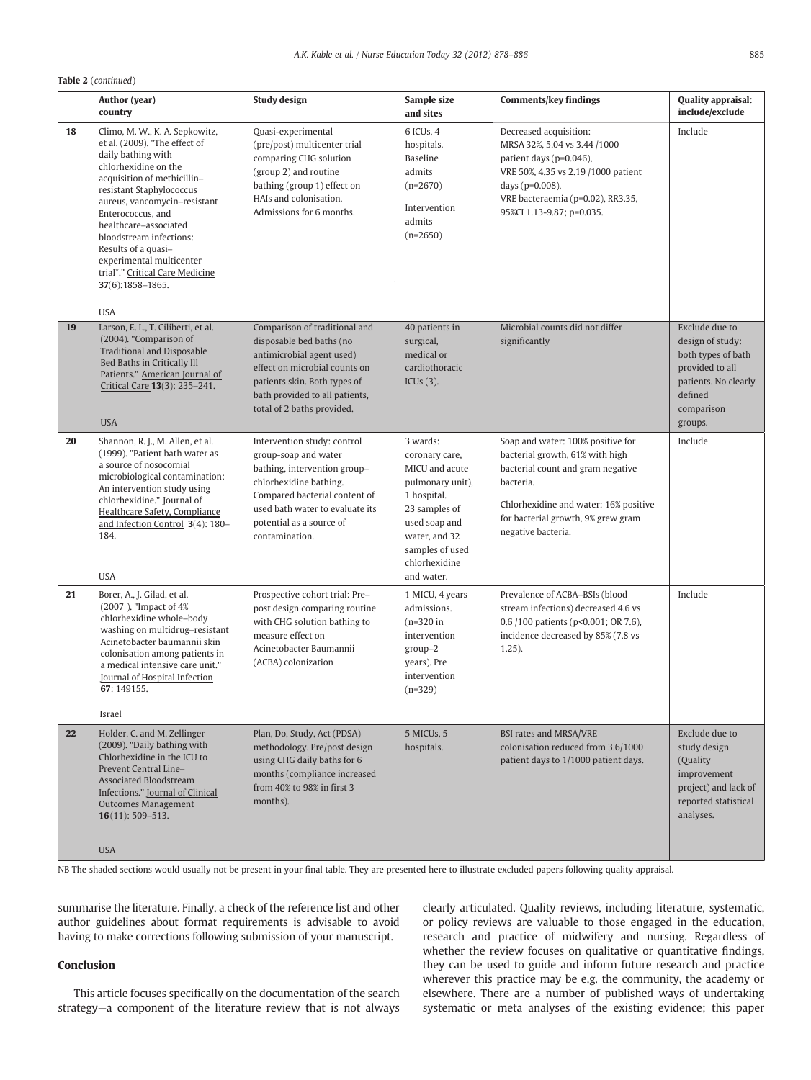#### Table 2 (continued)

|    | Author (year)<br>country                                                                                                                                                                                                                                                                                                                                                                                      | <b>Study design</b>                                                                                                                                                                                                             | Sample size<br>and sites                                                                                                                                                             | <b>Comments/key findings</b>                                                                                                                                                                                                | Quality appraisal:<br>include/exclude                                                                                                   |
|----|---------------------------------------------------------------------------------------------------------------------------------------------------------------------------------------------------------------------------------------------------------------------------------------------------------------------------------------------------------------------------------------------------------------|---------------------------------------------------------------------------------------------------------------------------------------------------------------------------------------------------------------------------------|--------------------------------------------------------------------------------------------------------------------------------------------------------------------------------------|-----------------------------------------------------------------------------------------------------------------------------------------------------------------------------------------------------------------------------|-----------------------------------------------------------------------------------------------------------------------------------------|
| 18 | Climo, M. W., K. A. Sepkowitz,<br>et al. (2009). "The effect of<br>daily bathing with<br>chlorhexidine on the<br>acquisition of methicillin-<br>resistant Staphylococcus<br>aureus, vancomycin-resistant<br>Enterococcus, and<br>healthcare-associated<br>bloodstream infections:<br>Results of a quasi-<br>experimental multicenter<br>trial*." Critical Care Medicine<br>$37(6)$ : 1858-1865.<br><b>USA</b> | Quasi-experimental<br>(pre/post) multicenter trial<br>comparing CHG solution<br>(group 2) and routine<br>bathing (group 1) effect on<br>HAIs and colonisation.<br>Admissions for 6 months.                                      | 6 ICU <sub>s</sub> , 4<br>hospitals.<br><b>Baseline</b><br>admits<br>$(n=2670)$<br>Intervention<br>admits<br>$(n=2650)$                                                              | Decreased acquisition:<br>MRSA 32%, 5.04 vs 3.44 /1000<br>patient days (p=0.046),<br>VRE 50%, 4.35 vs 2.19 /1000 patient<br>days ( $p=0.008$ ),<br>VRE bacteraemia (p=0.02), RR3.35,<br>95%CI 1.13-9.87; p=0.035.           | Include                                                                                                                                 |
| 19 | Larson, E. L., T. Ciliberti, et al.<br>(2004). "Comparison of<br>Traditional and Disposable<br>Bed Baths in Critically Ill<br>Patients." American Journal of<br>Critical Care 13(3): 235-241.<br><b>USA</b>                                                                                                                                                                                                   | Comparison of traditional and<br>disposable bed baths (no<br>antimicrobial agent used)<br>effect on microbial counts on<br>patients skin. Both types of<br>bath provided to all patients,<br>total of 2 baths provided.         | 40 patients in<br>surgical,<br>medical or<br>cardiothoracic<br>ICUs $(3)$ .                                                                                                          | Microbial counts did not differ<br>significantly                                                                                                                                                                            | Exclude due to<br>design of study:<br>both types of bath<br>provided to all<br>patients. No clearly<br>defined<br>comparison<br>groups. |
| 20 | Shannon, R. J., M. Allen, et al.<br>(1999). "Patient bath water as<br>a source of nosocomial<br>microbiological contamination:<br>An intervention study using<br>chlorhexidine." Journal of<br>Healthcare Safety, Compliance<br>and Infection Control 3(4): 180-<br>184.<br><b>USA</b>                                                                                                                        | Intervention study: control<br>group-soap and water<br>bathing, intervention group-<br>chlorhexidine bathing.<br>Compared bacterial content of<br>used bath water to evaluate its<br>potential as a source of<br>contamination. | 3 wards:<br>coronary care,<br>MICU and acute<br>pulmonary unit),<br>1 hospital.<br>23 samples of<br>used soap and<br>water, and 32<br>samples of used<br>chlorhexidine<br>and water. | Soap and water: 100% positive for<br>bacterial growth, 61% with high<br>bacterial count and gram negative<br>bacteria.<br>Chlorhexidine and water: 16% positive<br>for bacterial growth, 9% grew gram<br>negative bacteria. | Include                                                                                                                                 |
| 21 | Borer, A., J. Gilad, et al.<br>(2007). "Impact of 4%<br>chlorhexidine whole-body<br>washing on multidrug-resistant<br>Acinetobacter baumannii skin<br>colonisation among patients in<br>a medical intensive care unit."<br>Journal of Hospital Infection<br>67: 149155.<br>Israel                                                                                                                             | Prospective cohort trial: Pre-<br>post design comparing routine<br>with CHG solution bathing to<br>measure effect on<br>Acinetobacter Baumannii<br>(ACBA) colonization                                                          | 1 MICU, 4 years<br>admissions.<br>$(n=320$ in<br>intervention<br>$group-2$<br>years). Pre<br>intervention<br>$(n=329)$                                                               | Prevalence of ACBA-BSIs (blood<br>stream infections) decreased 4.6 vs<br>0.6 /100 patients (p<0.001; OR 7.6),<br>incidence decreased by 85% (7.8 vs<br>$1.25$ ).                                                            | Include                                                                                                                                 |
| 22 | Holder, C. and M. Zellinger<br>(2009). "Daily bathing with<br>Chlorhexidine in the ICU to<br>Prevent Central Line-<br>Associated Bloodstream<br>Infections." Journal of Clinical<br><b>Outcomes Management</b><br>$16(11)$ : 509-513.<br><b>USA</b>                                                                                                                                                           | Plan, Do, Study, Act (PDSA)<br>methodology. Pre/post design<br>using CHG daily baths for 6<br>months (compliance increased<br>from 40% to 98% in first 3<br>months).                                                            | 5 MICUs, 5<br>hospitals.                                                                                                                                                             | <b>BSI rates and MRSA/VRE</b><br>colonisation reduced from 3.6/1000<br>patient days to 1/1000 patient days.                                                                                                                 | Exclude due to<br>study design<br>(Quality<br>improvement<br>project) and lack of<br>reported statistical<br>analyses.                  |

NB The shaded sections would usually not be present in your final table. They are presented here to illustrate excluded papers following quality appraisal.

summarise the literature. Finally, a check of the reference list and other author guidelines about format requirements is advisable to avoid having to make corrections following submission of your manuscript.

# Conclusion

This article focuses specifically on the documentation of the search strategy—a component of the literature review that is not always clearly articulated. Quality reviews, including literature, systematic, or policy reviews are valuable to those engaged in the education, research and practice of midwifery and nursing. Regardless of whether the review focuses on qualitative or quantitative findings, they can be used to guide and inform future research and practice wherever this practice may be e.g. the community, the academy or elsewhere. There are a number of published ways of undertaking systematic or meta analyses of the existing evidence; this paper